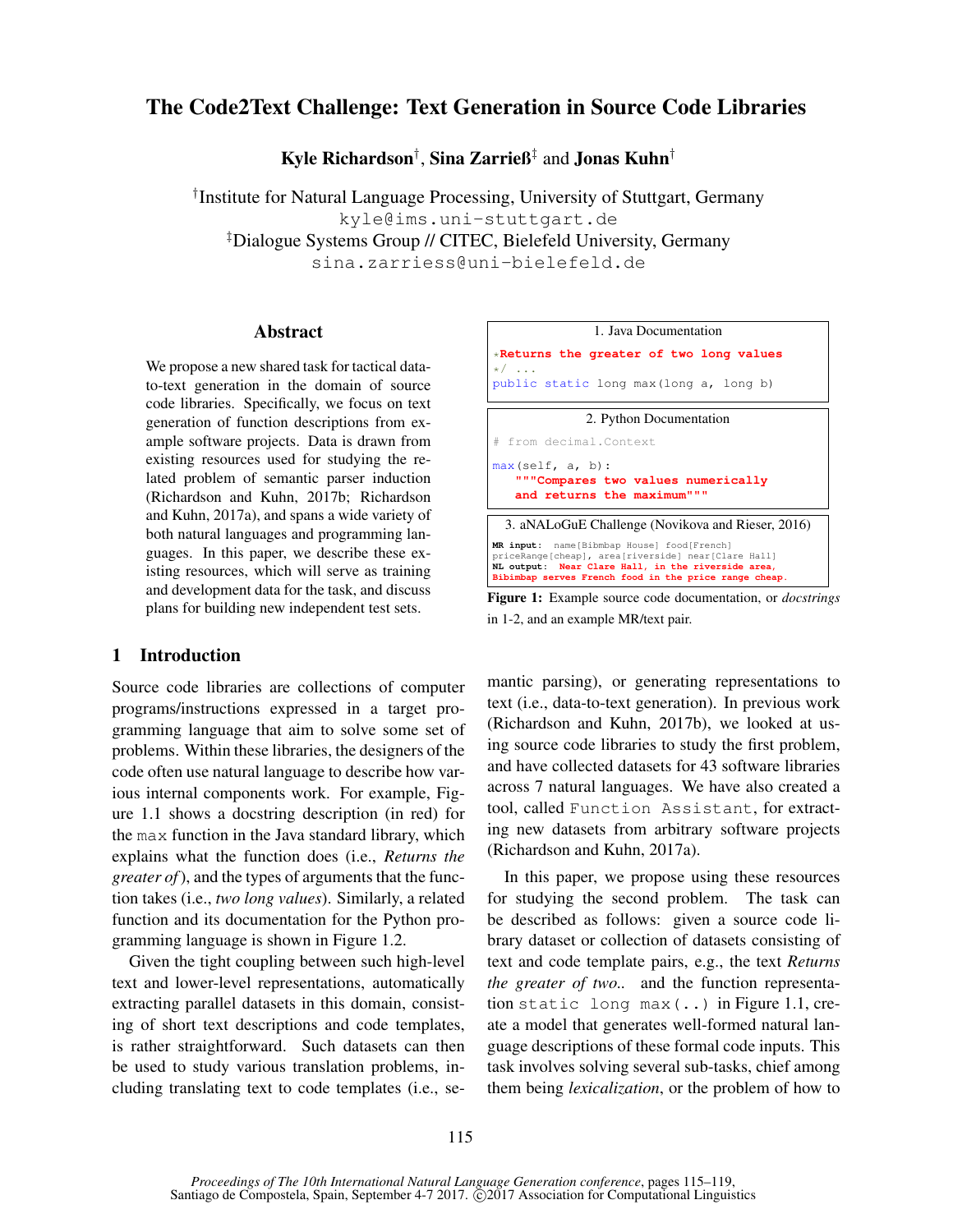# The Code2Text Challenge: Text Generation in Source Code Libraries

Kyle Richardson† , Sina Zarrieß‡ and Jonas Kuhn†

† Institute for Natural Language Processing, University of Stuttgart, Germany kyle@ims.uni-stuttgart.de ‡Dialogue Systems Group // CITEC, Bielefeld University, Germany sina.zarriess@uni-bielefeld.de

# Abstract

We propose a new shared task for tactical datato-text generation in the domain of source code libraries. Specifically, we focus on text generation of function descriptions from example software projects. Data is drawn from existing resources used for studying the related problem of semantic parser induction (Richardson and Kuhn, 2017b; Richardson and Kuhn, 2017a), and spans a wide variety of both natural languages and programming languages. In this paper, we describe these existing resources, which will serve as training and development data for the task, and discuss plans for building new independent test sets.

### 1 Introduction

Source code libraries are collections of computer programs/instructions expressed in a target programming language that aim to solve some set of problems. Within these libraries, the designers of the code often use natural language to describe how various internal components work. For example, Figure 1.1 shows a docstring description (in red) for the max function in the Java standard library, which explains what the function does (i.e., *Returns the greater of*), and the types of arguments that the function takes (i.e., *two long values*). Similarly, a related function and its documentation for the Python programming language is shown in Figure 1.2.

Given the tight coupling between such high-level text and lower-level representations, automatically extracting parallel datasets in this domain, consisting of short text descriptions and code templates, is rather straightforward. Such datasets can then be used to study various translation problems, including translating text to code templates (i.e., se-



Figure 1: Example source code documentation, or *docstrings* in 1-2, and an example MR/text pair.

mantic parsing), or generating representations to text (i.e., data-to-text generation). In previous work (Richardson and Kuhn, 2017b), we looked at using source code libraries to study the first problem, and have collected datasets for 43 software libraries across 7 natural languages. We have also created a tool, called Function Assistant, for extracting new datasets from arbitrary software projects (Richardson and Kuhn, 2017a).

In this paper, we propose using these resources for studying the second problem. The task can be described as follows: given a source code library dataset or collection of datasets consisting of text and code template pairs, e.g., the text *Returns the greater of two..* and the function representation static long max(..) in Figure 1.1, create a model that generates well-formed natural language descriptions of these formal code inputs. This task involves solving several sub-tasks, chief among them being *lexicalization*, or the problem of how to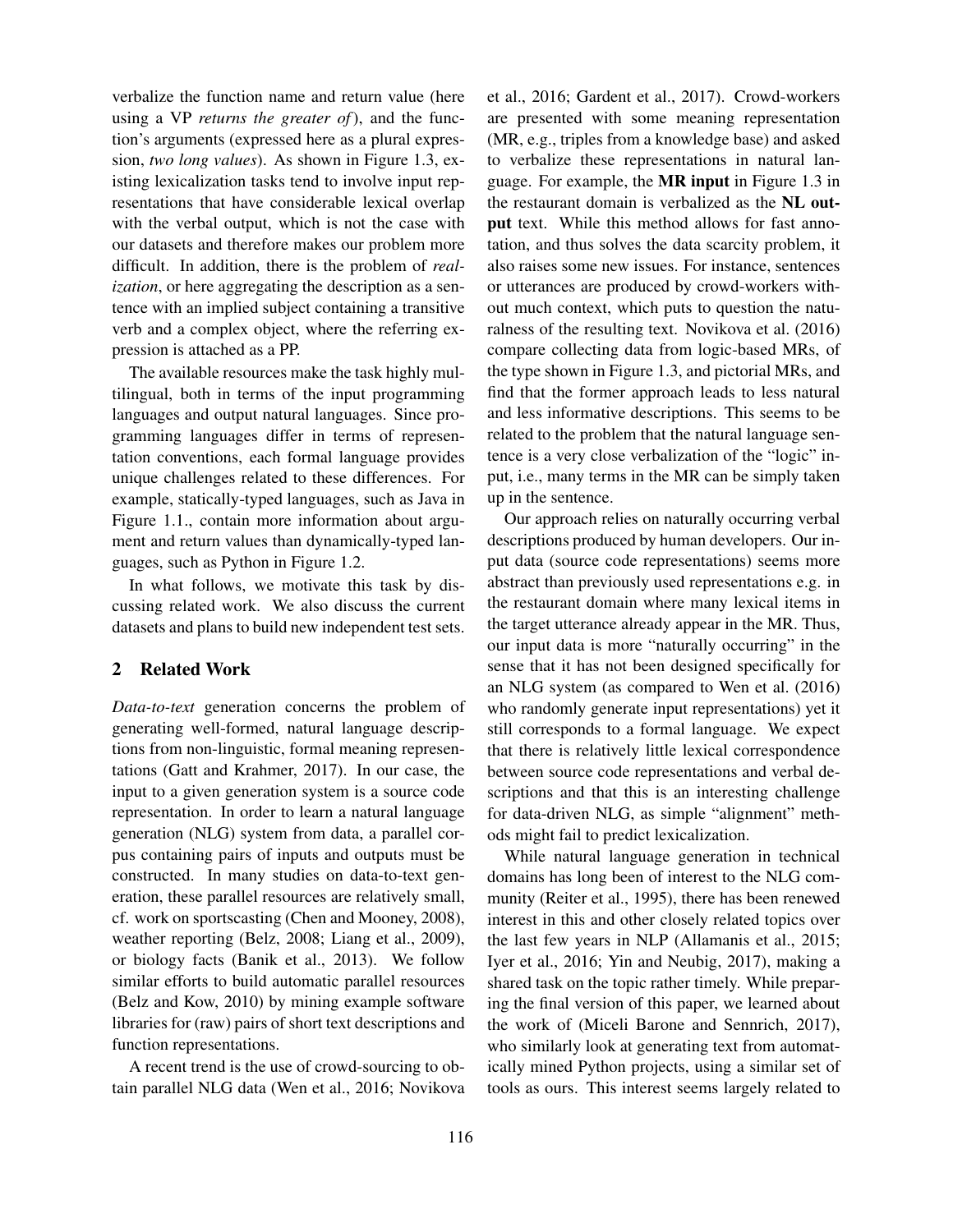verbalize the function name and return value (here using a VP *returns the greater of*), and the function's arguments (expressed here as a plural expression, *two long values*). As shown in Figure 1.3, existing lexicalization tasks tend to involve input representations that have considerable lexical overlap with the verbal output, which is not the case with our datasets and therefore makes our problem more difficult. In addition, there is the problem of *realization*, or here aggregating the description as a sentence with an implied subject containing a transitive verb and a complex object, where the referring expression is attached as a PP.

The available resources make the task highly multilingual, both in terms of the input programming languages and output natural languages. Since programming languages differ in terms of representation conventions, each formal language provides unique challenges related to these differences. For example, statically-typed languages, such as Java in Figure 1.1., contain more information about argument and return values than dynamically-typed languages, such as Python in Figure 1.2.

In what follows, we motivate this task by discussing related work. We also discuss the current datasets and plans to build new independent test sets.

# 2 Related Work

*Data-to-text* generation concerns the problem of generating well-formed, natural language descriptions from non-linguistic, formal meaning representations (Gatt and Krahmer, 2017). In our case, the input to a given generation system is a source code representation. In order to learn a natural language generation (NLG) system from data, a parallel corpus containing pairs of inputs and outputs must be constructed. In many studies on data-to-text generation, these parallel resources are relatively small, cf. work on sportscasting (Chen and Mooney, 2008), weather reporting (Belz, 2008; Liang et al., 2009), or biology facts (Banik et al., 2013). We follow similar efforts to build automatic parallel resources (Belz and Kow, 2010) by mining example software libraries for (raw) pairs of short text descriptions and function representations.

A recent trend is the use of crowd-sourcing to obtain parallel NLG data (Wen et al., 2016; Novikova et al., 2016; Gardent et al., 2017). Crowd-workers are presented with some meaning representation (MR, e.g., triples from a knowledge base) and asked to verbalize these representations in natural language. For example, the MR input in Figure 1.3 in the restaurant domain is verbalized as the NL output text. While this method allows for fast annotation, and thus solves the data scarcity problem, it also raises some new issues. For instance, sentences or utterances are produced by crowd-workers without much context, which puts to question the naturalness of the resulting text. Novikova et al. (2016) compare collecting data from logic-based MRs, of the type shown in Figure 1.3, and pictorial MRs, and find that the former approach leads to less natural and less informative descriptions. This seems to be related to the problem that the natural language sentence is a very close verbalization of the "logic" input, i.e., many terms in the MR can be simply taken up in the sentence.

Our approach relies on naturally occurring verbal descriptions produced by human developers. Our input data (source code representations) seems more abstract than previously used representations e.g. in the restaurant domain where many lexical items in the target utterance already appear in the MR. Thus, our input data is more "naturally occurring" in the sense that it has not been designed specifically for an NLG system (as compared to Wen et al. (2016) who randomly generate input representations) yet it still corresponds to a formal language. We expect that there is relatively little lexical correspondence between source code representations and verbal descriptions and that this is an interesting challenge for data-driven NLG, as simple "alignment" methods might fail to predict lexicalization.

While natural language generation in technical domains has long been of interest to the NLG community (Reiter et al., 1995), there has been renewed interest in this and other closely related topics over the last few years in NLP (Allamanis et al., 2015; Iyer et al., 2016; Yin and Neubig, 2017), making a shared task on the topic rather timely. While preparing the final version of this paper, we learned about the work of (Miceli Barone and Sennrich, 2017), who similarly look at generating text from automatically mined Python projects, using a similar set of tools as ours. This interest seems largely related to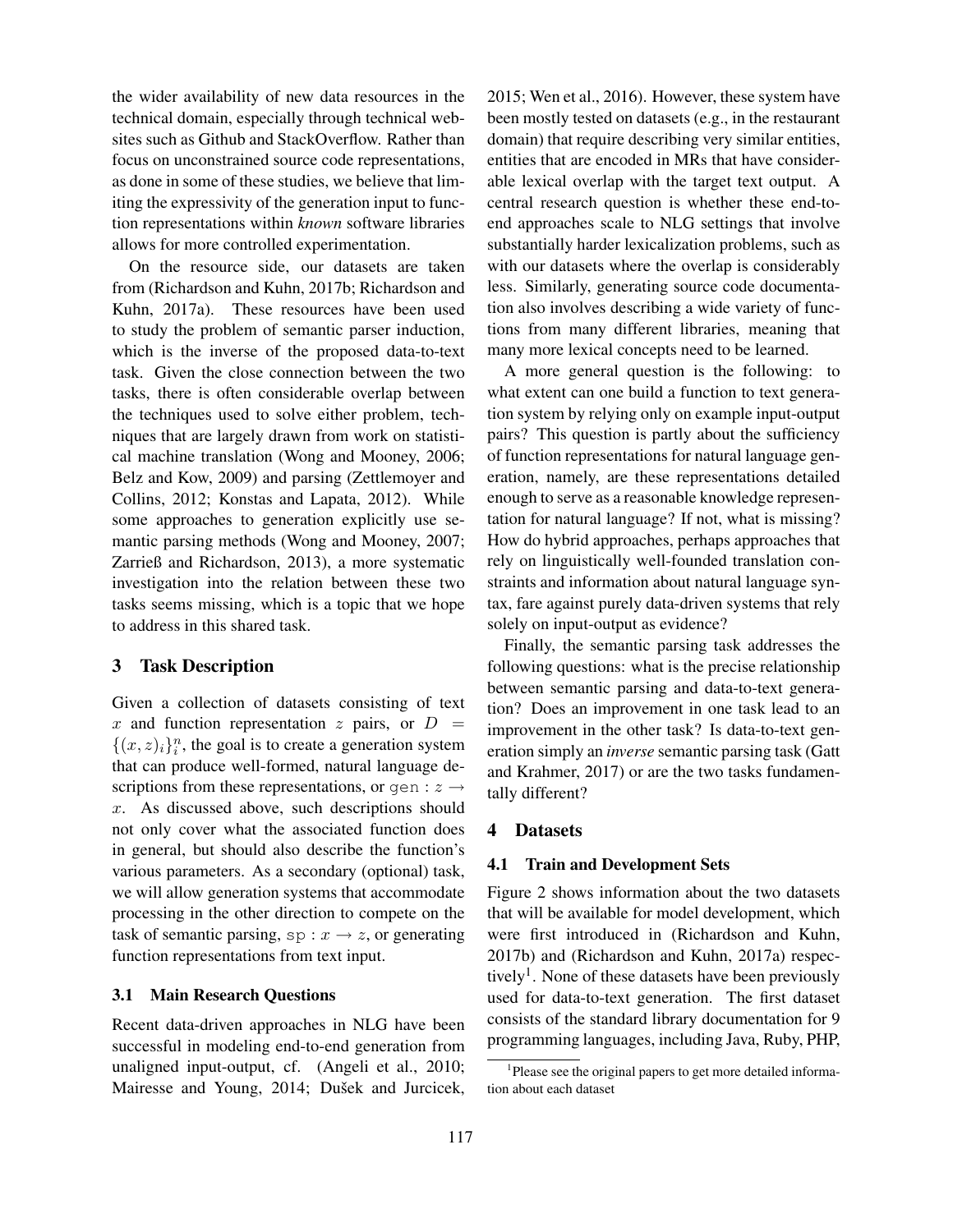the wider availability of new data resources in the technical domain, especially through technical websites such as Github and StackOverflow. Rather than focus on unconstrained source code representations, as done in some of these studies, we believe that limiting the expressivity of the generation input to function representations within *known* software libraries allows for more controlled experimentation.

On the resource side, our datasets are taken from (Richardson and Kuhn, 2017b; Richardson and Kuhn, 2017a). These resources have been used to study the problem of semantic parser induction, which is the inverse of the proposed data-to-text task. Given the close connection between the two tasks, there is often considerable overlap between the techniques used to solve either problem, techniques that are largely drawn from work on statistical machine translation (Wong and Mooney, 2006; Belz and Kow, 2009) and parsing (Zettlemoyer and Collins, 2012; Konstas and Lapata, 2012). While some approaches to generation explicitly use semantic parsing methods (Wong and Mooney, 2007; Zarrieß and Richardson, 2013), a more systematic investigation into the relation between these two tasks seems missing, which is a topic that we hope to address in this shared task.

# 3 Task Description

Given a collection of datasets consisting of text x and function representation z pairs, or  $D =$  $\{(x, z)_i\}^n_i$ , the goal is to create a generation system that can produce well-formed, natural language descriptions from these representations, or gen :  $z \rightarrow$ x. As discussed above, such descriptions should not only cover what the associated function does in general, but should also describe the function's various parameters. As a secondary (optional) task, we will allow generation systems that accommodate processing in the other direction to compete on the task of semantic parsing,  $sp: x \rightarrow z$ , or generating function representations from text input.

### 3.1 Main Research Questions

Recent data-driven approaches in NLG have been successful in modeling end-to-end generation from unaligned input-output, cf. (Angeli et al., 2010; Mairesse and Young, 2014; Dušek and Jurcicek, 2015; Wen et al., 2016). However, these system have been mostly tested on datasets (e.g., in the restaurant domain) that require describing very similar entities, entities that are encoded in MRs that have considerable lexical overlap with the target text output. A central research question is whether these end-toend approaches scale to NLG settings that involve substantially harder lexicalization problems, such as with our datasets where the overlap is considerably less. Similarly, generating source code documentation also involves describing a wide variety of functions from many different libraries, meaning that many more lexical concepts need to be learned.

A more general question is the following: to what extent can one build a function to text generation system by relying only on example input-output pairs? This question is partly about the sufficiency of function representations for natural language generation, namely, are these representations detailed enough to serve as a reasonable knowledge representation for natural language? If not, what is missing? How do hybrid approaches, perhaps approaches that rely on linguistically well-founded translation constraints and information about natural language syntax, fare against purely data-driven systems that rely solely on input-output as evidence?

Finally, the semantic parsing task addresses the following questions: what is the precise relationship between semantic parsing and data-to-text generation? Does an improvement in one task lead to an improvement in the other task? Is data-to-text generation simply an *inverse* semantic parsing task (Gatt and Krahmer, 2017) or are the two tasks fundamentally different?

#### 4 Datasets

### 4.1 Train and Development Sets

Figure 2 shows information about the two datasets that will be available for model development, which were first introduced in (Richardson and Kuhn, 2017b) and (Richardson and Kuhn, 2017a) respectively<sup>1</sup>. None of these datasets have been previously used for data-to-text generation. The first dataset consists of the standard library documentation for 9 programming languages, including Java, Ruby, PHP,

<sup>&</sup>lt;sup>1</sup>Please see the original papers to get more detailed information about each dataset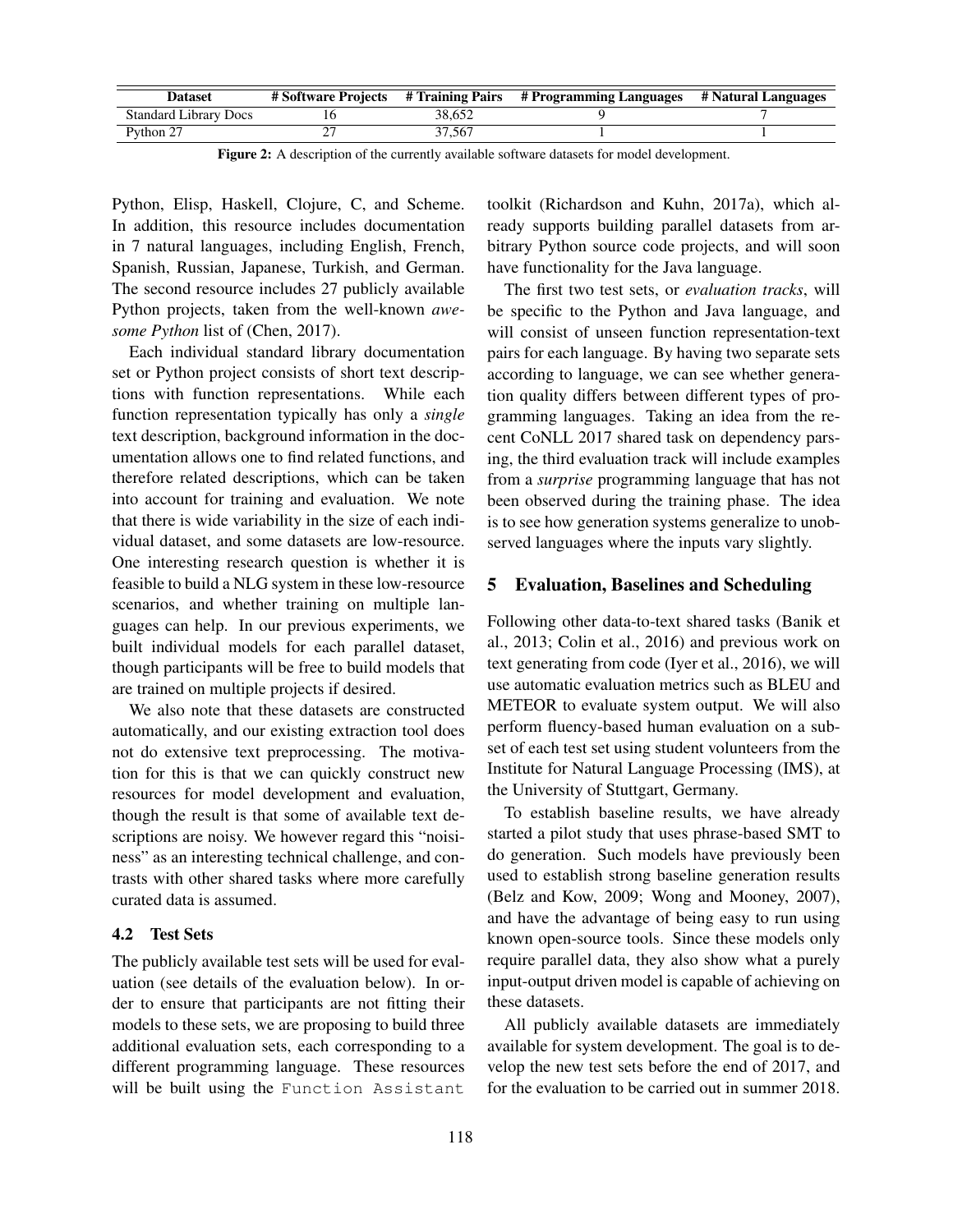| <b>Dataset</b>               |        | # Software Projects # Training Pairs # Programming Languages | # Natural Languages |
|------------------------------|--------|--------------------------------------------------------------|---------------------|
| <b>Standard Library Docs</b> | 38.652 |                                                              |                     |
| Python 27                    | 37.567 |                                                              |                     |

Figure 2: A description of the currently available software datasets for model development.

Python, Elisp, Haskell, Clojure, C, and Scheme. In addition, this resource includes documentation in 7 natural languages, including English, French, Spanish, Russian, Japanese, Turkish, and German. The second resource includes 27 publicly available Python projects, taken from the well-known *awesome Python* list of (Chen, 2017).

Each individual standard library documentation set or Python project consists of short text descriptions with function representations. While each function representation typically has only a *single* text description, background information in the documentation allows one to find related functions, and therefore related descriptions, which can be taken into account for training and evaluation. We note that there is wide variability in the size of each individual dataset, and some datasets are low-resource. One interesting research question is whether it is feasible to build a NLG system in these low-resource scenarios, and whether training on multiple languages can help. In our previous experiments, we built individual models for each parallel dataset, though participants will be free to build models that are trained on multiple projects if desired.

We also note that these datasets are constructed automatically, and our existing extraction tool does not do extensive text preprocessing. The motivation for this is that we can quickly construct new resources for model development and evaluation, though the result is that some of available text descriptions are noisy. We however regard this "noisiness" as an interesting technical challenge, and contrasts with other shared tasks where more carefully curated data is assumed.

# 4.2 Test Sets

The publicly available test sets will be used for evaluation (see details of the evaluation below). In order to ensure that participants are not fitting their models to these sets, we are proposing to build three additional evaluation sets, each corresponding to a different programming language. These resources will be built using the Function Assistant

toolkit (Richardson and Kuhn, 2017a), which already supports building parallel datasets from arbitrary Python source code projects, and will soon have functionality for the Java language.

The first two test sets, or *evaluation tracks*, will be specific to the Python and Java language, and will consist of unseen function representation-text pairs for each language. By having two separate sets according to language, we can see whether generation quality differs between different types of programming languages. Taking an idea from the recent CoNLL 2017 shared task on dependency parsing, the third evaluation track will include examples from a *surprise* programming language that has not been observed during the training phase. The idea is to see how generation systems generalize to unobserved languages where the inputs vary slightly.

### 5 Evaluation, Baselines and Scheduling

Following other data-to-text shared tasks (Banik et al., 2013; Colin et al., 2016) and previous work on text generating from code (Iyer et al., 2016), we will use automatic evaluation metrics such as BLEU and METEOR to evaluate system output. We will also perform fluency-based human evaluation on a subset of each test set using student volunteers from the Institute for Natural Language Processing (IMS), at the University of Stuttgart, Germany.

To establish baseline results, we have already started a pilot study that uses phrase-based SMT to do generation. Such models have previously been used to establish strong baseline generation results (Belz and Kow, 2009; Wong and Mooney, 2007), and have the advantage of being easy to run using known open-source tools. Since these models only require parallel data, they also show what a purely input-output driven model is capable of achieving on these datasets.

All publicly available datasets are immediately available for system development. The goal is to develop the new test sets before the end of 2017, and for the evaluation to be carried out in summer 2018.